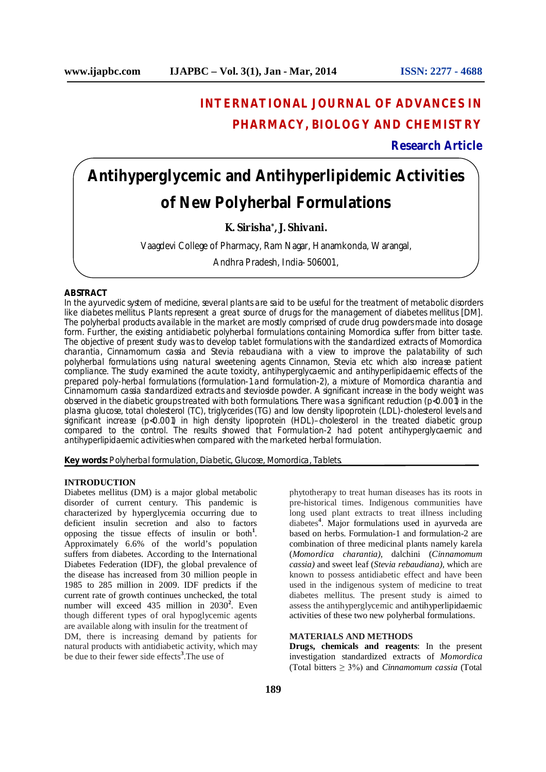## **INTERNATIONAL JOURNAL OF ADVANCES IN PHARMACY, BIOLOGY AND CHEMISTRY**

**Research Article**

# **Antihyperglycemic and Antihyperlipidemic Activities of New Polyherbal Formulations**

## **K. Sirisha\* , J. Shivani.**

Vaagdevi College of Pharmacy, Ram Nagar, Hanamkonda, Warangal,

Andhra Pradesh, India- 506001,

#### **ABSTRACT**

In the ayurvedic system of medicine, several plants are said to be useful for the treatment of metabolic disorders like diabetes mellitus. Plants represent a great source of drugs for the management of diabetes mellitus [DM]. The polyherbal products available in the market are mostly comprised of crude drug powders made into dosage form. Further, the existing antidiabetic polyherbal formulations containing *Momordica* suffer from bitter taste. The objective of present study was to develop tablet formulations with the standardized extracts of *Momordica charantia*, *Cinnamomum cassia* and *Stevia rebaudiana* with a view to improve the palatability of such polyherbal formulations using natural sweetening agents *Cinnamon, Stevia* etc which also increase patient compliance. The study examined the acute toxicity, antihyperglycaemic and antihyperlipidaemic effects of the prepared poly-herbal formulations (formulation-1 and formulation-2), a mixture of *Momordica charantia* and *Cinnamomum cassia* standardized extracts and stevioside powder. A significant increase in the body weight was observed in the diabetic groups treated with both formulations. There was a significant reduction (p<0.001) in the plasma glucose, total cholesterol (TC), triglycerides (TG) and low density lipoprotein (LDL)-cholesterol levels and significant increase (p<0.001) in high density lipoprotein (HDL)–cholesterol in the treated diabetic group compared to the control. The results showed that Formulation-2 had potent antihyperglycaemic and antihyperlipidaemic activities when compared with the marketed herbal formulation.

**Key words:** Polyherbal formulation, Diabetic, Glucose, Momordica, Tablets.

#### **INTRODUCTION**

Diabetes mellitus (DM) is a major global metabolic disorder of current century. This pandemic is characterized by hyperglycemia occurring due to deficient insulin secretion and also to factors opposing the tissue effects of insulin or both**<sup>1</sup>** . Approximately 6.6% of the world's population suffers from diabetes. According to the International Diabetes Federation (IDF), the global prevalence of the disease has increased from 30 million people in 1985 to 285 million in 2009. IDF predicts if the current rate of growth continues unchecked, the total number will exceed 435 million in 2030<sup>2</sup>. Even though different types of oral hypoglycemic agents are available along with insulin for the treatment of

DM, there is increasing demand by patients for natural products with antidiabetic activity, which may be due to their fewer side effects**<sup>3</sup>** .The use of

phytotherapy to treat human diseases has its roots in pre-historical times. Indigenous communities have long used plant extracts to treat illness including diabetes**<sup>4</sup>** . Major formulations used in ayurveda are based on herbs. Formulation-1 and formulation-2 are combination of three medicinal plants namely karela (*Momordica charantia),* dalchini (*Cinnamomum cassia)* and sweet leaf (*Stevia rebaudiana),* which are known to possess antidiabetic effect and have been used in the indigenous system of medicine to treat diabetes mellitus. The present study is aimed to assess the antihyperglycemic and antihyperlipidaemic activities of these two new polyherbal formulations.

## **MATERIALS AND METHODS**

**Drugs, chemicals and reagents**: In the present investigation standardized extracts of *Momordica*  (Total bitters ≥ 3%) and *Cinnamomum cassia* (Total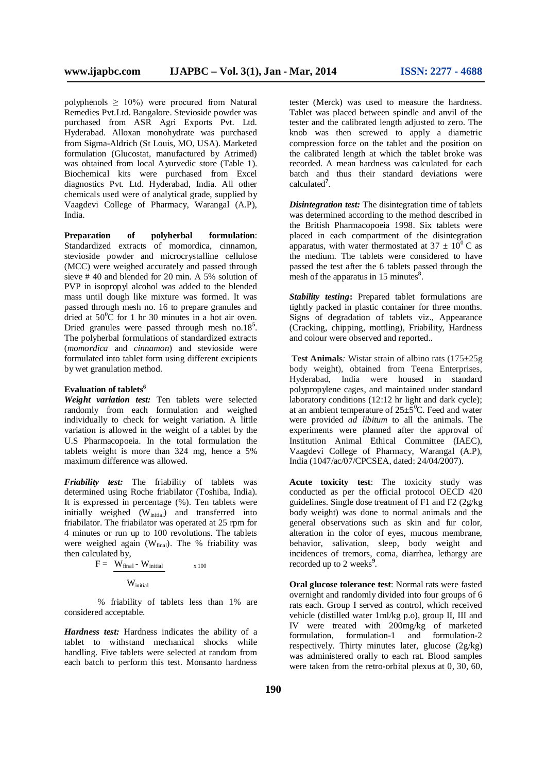polyphenols  $\geq 10\%$ ) were procured from Natural Remedies Pvt.Ltd. Bangalore. Stevioside powder was purchased from ASR Agri Exports Pvt. Ltd. Hyderabad. Alloxan monohydrate was purchased from Sigma-Aldrich (St Louis, MO, USA). Marketed formulation (Glucostat, manufactured by Atrimed) was obtained from local Ayurvedic store (Table 1). Biochemical kits were purchased from Excel diagnostics Pvt. Ltd. Hyderabad, India. All other chemicals used were of analytical grade, supplied by Vaagdevi College of Pharmacy, Warangal (A.P), India.

**Preparation of polyherbal formulation**: Standardized extracts of momordica, cinnamon, stevioside powder and microcrystalline cellulose (MCC) were weighed accurately and passed through sieve # 40 and blended for 20 min. A 5% solution of PVP in isopropyl alcohol was added to the blended mass until dough like mixture was formed. It was passed through mesh no. 16 to prepare granules and dried at  $50^{\circ}$ C for 1 hr 30 minutes in a hot air oven. Dried granules were passed through mesh no.18**<sup>5</sup>** . The polyherbal formulations of standardized extracts (*momordica* and *cinnamon*) and stevioside were formulated into tablet form using different excipients by wet granulation method.

## **Evaluation of tablets<sup>6</sup>**

*Weight variation test:* Ten tablets were selected randomly from each formulation and weighed individually to check for weight variation. A little variation is allowed in the weight of a tablet by the U.S Pharmacopoeia. In the total formulation the tablets weight is more than 324 mg, hence a 5% maximum difference was allowed.

*Friability test:* The friability of tablets was determined using Roche friabilator (Toshiba, India). It is expressed in percentage (%). Ten tablets were initially weighed (W<sub>initial</sub>) and transferred into friabilator. The friabilator was operated at 25 rpm for 4 minutes or run up to 100 revolutions. The tablets were weighed again (Wfinal). The % friability was then calculated by,

$$
F = \frac{W_{final} - W_{initial}}{W}
$$
 100

 $\rm W_{initial}$ 

 % friability of tablets less than 1% are considered acceptable.

*Hardness test:* Hardness indicates the ability of a tablet to withstand mechanical shocks while handling. Five tablets were selected at random from each batch to perform this test. Monsanto hardness

tester (Merck) was used to measure the hardness. Tablet was placed between spindle and anvil of the tester and the calibrated length adjusted to zero. The knob was then screwed to apply a diametric compression force on the tablet and the position on the calibrated length at which the tablet broke was recorded. A mean hardness was calculated for each batch and thus their standard deviations were calculated**<sup>7</sup>** .

*Disintegration test:* The disintegration time of tablets was determined according to the method described in the British Pharmacopoeia 1998. Six tablets were placed in each compartment of the disintegration apparatus, with water thermostated at  $37 \pm 10^{0}$  C as the medium. The tablets were considered to have passed the test after the 6 tablets passed through the mesh of the apparatus in 15 minutes<sup>8</sup>.

*Stability testing***:** Prepared tablet formulations are tightly packed in plastic container for three months. Signs of degradation of tablets viz., Appearance (Cracking, chipping, mottling), Friability, Hardness and colour were observed and reported..

**Test Animals***:* Wistar strain of albino rats (175±25g body weight), obtained from Teena Enterprises, Hyderabad, India were housed in standard polypropylene cages, and maintained under standard laboratory conditions (12:12 hr light and dark cycle); at an ambient temperature of  $25\pm5\degree$ C. Feed and water were provided *ad libitum* to all the animals. The experiments were planned after the approval of Institution Animal Ethical Committee (IAEC), Vaagdevi College of Pharmacy, Warangal (A.P), India (1047/ac/07/CPCSEA, dated: 24/04/2007).

**Acute toxicity test**: The toxicity study was conducted as per the official protocol OECD 420 guidelines. Single dose treatment of F1 and F2 (2g/kg body weight) was done to normal animals and the general observations such as skin and fur color, alteration in the color of eyes, mucous membrane, behavior, salivation, sleep, body weight and incidences of tremors, coma, diarrhea, lethargy are recorded up to 2 weeks<sup>9</sup>.

**Oral glucose tolerance test**: Normal rats were fasted overnight and randomly divided into four groups of 6 rats each. Group I served as control, which received vehicle (distilled water 1ml/kg p.o), group II, III and IV were treated with 200mg/kg of marketed formulation, formulation-1 and formulation-2 respectively. Thirty minutes later, glucose (2g/kg) was administered orally to each rat. Blood samples were taken from the retro-orbital plexus at 0, 30, 60,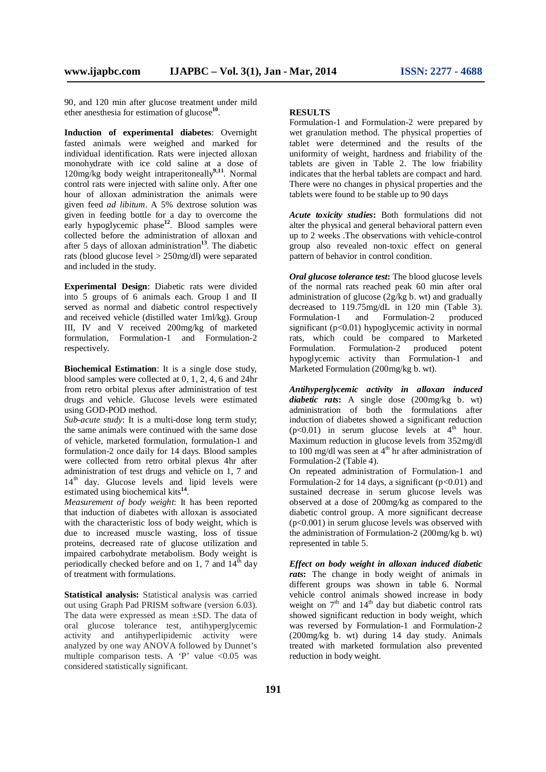90, and 120 min after glucose treatment under mild ether anesthesia for estimation of glucose**<sup>10</sup>** .

**Induction of experimental diabetes**: Overnight fasted animals were weighed and marked for individual identification. Rats were injected alloxan monohydrate with ice cold saline at a dose of 120mg/kg body weight intraperitoneally**9,11**. Normal control rats were injected with saline only. After one hour of alloxan administration the animals were given feed *ad libitum*. A 5% dextrose solution was given in feeding bottle for a day to overcome the early hypoglycemic phase**<sup>12</sup>** . Blood samples were collected before the administration of alloxan and after 5 days of alloxan administration**<sup>13</sup>** . The diabetic rats (blood glucose level > 250mg/dl) were separated and included in the study.

**Experimental Design**: Diabetic rats were divided into 5 groups of 6 animals each. Group I and II served as normal and diabetic control respectively and received vehicle (distilled water 1ml/kg). Group III, IV and V received 200mg/kg of marketed formulation, Formulation-1 and Formulation-2 respectively.

**Biochemical Estimation**: It is a single dose study, blood samples were collected at 0, 1, 2, 4, 6 and 24hr from retro orbital plexus after administration of test drugs and vehicle. Glucose levels were estimated using GOD-POD method.

*Sub-acute study*: It is a multi-dose long term study; the same animals were continued with the same dose of vehicle, marketed formulation, formulation-1 and formulation-2 once daily for 14 days. Blood samples were collected from retro orbital plexus 4hr after administration of test drugs and vehicle on 1, 7 and  $14<sup>th</sup>$  day. Glucose levels and lipid levels were estimated using biochemical kits**<sup>14</sup>** .

*Measurement of body weight*: It has been reported that induction of diabetes with alloxan is associated with the characteristic loss of body weight, which is due to increased muscle wasting, loss of tissue proteins, decreased rate of glucose utilization and impaired carbohydrate metabolism. Body weight is periodically checked before and on 1, 7 and  $14<sup>th</sup>$  day of treatment with formulations.

**Statistical analysis:** Statistical analysis was carried out using Graph Pad PRISM software (version 6.03). The data were expressed as mean ±SD. The data of oral glucose tolerance test, antihyperglycemic activity and antihyperlipidemic activity were analyzed by one way ANOVA followed by Dunnet's multiple comparison tests. A 'P' value  $\langle 0.05 \rangle$  was considered statistically significant.

#### **RESULTS**

Formulation-1 and Formulation-2 were prepared by wet granulation method. The physical properties of tablet were determined and the results of the uniformity of weight, hardness and friability of the tablets are given in Table 2. The low friability indicates that the herbal tablets are compact and hard. There were no changes in physical properties and the tablets were found to be stable up to 90 days

*Acute toxicity studies***:** Both formulations did not alter the physical and general behavioral pattern even up to 2 weeks .The observations with vehicle-control group also revealed non-toxic effect on general pattern of behavior in control condition.

*Oral glucose tolerance test***:** The blood glucose levels of the normal rats reached peak 60 min after oral administration of glucose  $(2g/kg b$ . wt) and gradually decreased to 119.75mg/dL in 120 min (Table 3).<br>Formulation-1 and Formulation-2 produced and Formulation-2 produced significant (p<0.01) hypoglycemic activity in normal rats, which could be compared to Marketed Formulation. Formulation-2 produced potent hypoglycemic activity than Formulation-1 and Marketed Formulation (200mg/kg b. wt).

*Antihyperglycemic activity in alloxan induced diabetic rats***:** A single dose (200mg/kg b. wt) administration of both the formulations after induction of diabetes showed a significant reduction  $(p<0.01)$  in serum glucose levels at 4<sup>th</sup> hour. Maximum reduction in glucose levels from 352mg/dl to 100 mg/dl was seen at  $4<sup>th</sup>$  hr after administration of Formulation-2 (Table 4).

On repeated administration of Formulation-1 and Formulation-2 for 14 days, a significant  $(p<0.01)$  and sustained decrease in serum glucose levels was observed at a dose of 200mg/kg as compared to the diabetic control group. A more significant decrease (p<0.001) in serum glucose levels was observed with the administration of Formulation-2 (200mg/kg b. wt) represented in table 5.

*Effect on body weight in alloxan induced diabetic rats***:** The change in body weight of animals in different groups was shown in table 6. Normal vehicle control animals showed increase in body weight on  $7<sup>th</sup>$  and  $14<sup>th</sup>$  day but diabetic control rats showed significant reduction in body weight, which was reversed by Formulation-1 and Formulation-2 (200mg/kg b. wt) during 14 day study. Animals treated with marketed formulation also prevented reduction in body weight.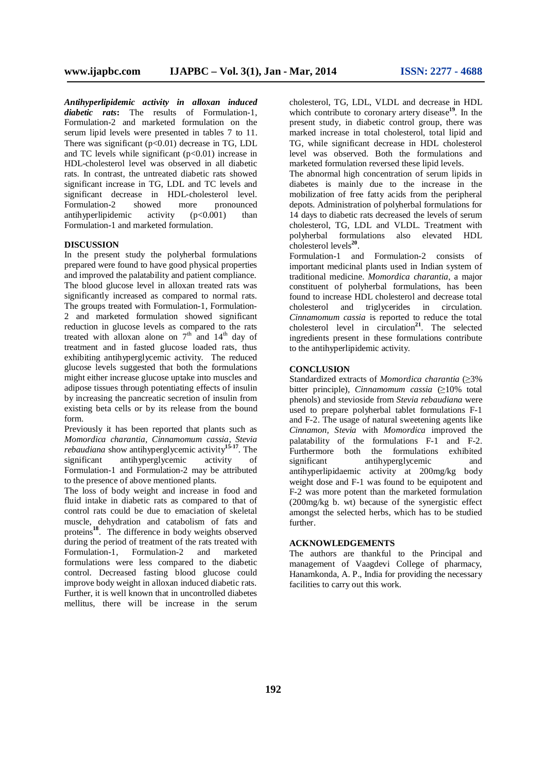*Antihyperlipidemic activity in alloxan induced diabetic rats***:** The results of Formulation-1, Formulation-2 and marketed formulation on the serum lipid levels were presented in tables 7 to 11. There was significant  $(p<0.01)$  decrease in TG, LDL and TC levels while significant  $(p<0.01)$  increase in HDL-cholesterol level was observed in all diabetic rats. In contrast, the untreated diabetic rats showed significant increase in TG, LDL and TC levels and significant decrease in HDL-cholesterol level.<br>Formulation-2 showed more pronounced Formulation-2 showed more pronounced<br>antihyperlipidemic activity (p<0.001) than antihyperlipidemic activity  $(p<0.001)$  than Formulation-1 and marketed formulation.

#### **DISCUSSION**

In the present study the polyherbal formulations prepared were found to have good physical properties and improved the palatability and patient compliance. The blood glucose level in alloxan treated rats was significantly increased as compared to normal rats. The groups treated with Formulation-1, Formulation-2 and marketed formulation showed significant reduction in glucose levels as compared to the rats treated with alloxan alone on  $7<sup>th</sup>$  and  $14<sup>th</sup>$  day of treatment and in fasted glucose loaded rats, thus exhibiting antihyperglycemic activity. The reduced glucose levels suggested that both the formulations might either increase glucose uptake into muscles and adipose tissues through potentiating effects of insulin by increasing the pancreatic secretion of insulin from existing beta cells or by its release from the bound form.

Previously it has been reported that plants such as *Momordica charantia, Cinnamomum cassia, Stevia rebaudiana* show antihyperglycemic activity**15-17** . The significant antihyperglycemic activity of Formulation-1 and Formulation-2 may be attributed to the presence of above mentioned plants.

The loss of body weight and increase in food and fluid intake in diabetic rats as compared to that of control rats could be due to emaciation of skeletal muscle, dehydration and catabolism of fats and proteins**<sup>18</sup>** . The difference in body weights observed during the period of treatment of the rats treated with Formulation-1, Formulation-2 and marketed formulations were less compared to the diabetic control. Decreased fasting blood glucose could improve body weight in alloxan induced diabetic rats. Further, it is well known that in uncontrolled diabetes mellitus, there will be increase in the serum

cholesterol, TG, LDL, VLDL and decrease in HDL which contribute to coronary artery disease<sup>19</sup>. In the present study, in diabetic control group, there was marked increase in total cholesterol, total lipid and TG, while significant decrease in HDL cholesterol level was observed. Both the formulations and marketed formulation reversed these lipid levels.

The abnormal high concentration of serum lipids in diabetes is mainly due to the increase in the mobilization of free fatty acids from the peripheral depots. Administration of polyherbal formulations for 14 days to diabetic rats decreased the levels of serum cholesterol, TG, LDL and VLDL. Treatment with polyherbal formulations also elevated HDL cholesterol levels**<sup>20</sup>** .

Formulation-1 and Formulation-2 consists of important medicinal plants used in Indian system of traditional medicine. *Momordica charantia*, a major constituent of polyherbal formulations, has been found to increase HDL cholesterol and decrease total cholesterol and triglycerides in circulation. *Cinnamomum cassia* is reported to reduce the total cholesterol level in circulation**<sup>21</sup>**. The selected ingredients present in these formulations contribute to the antihyperlipidemic activity.

#### **CONCLUSION**

Standardized extracts of *Momordica charantia* (≥3% bitter principle)*, Cinnamomum cassia* (≥10% total phenols) and stevioside from *Stevia rebaudiana* were used to prepare polyherbal tablet formulations F-1 and F-2. The usage of natural sweetening agents like *Cinnamon, Stevia* with *Momordica* improved the palatability of the formulations F-1 and F-2. Furthermore both the formulations exhibited<br>significant antihyperglycemic and antihyperglycemic and antihyperlipidaemic activity at 200mg/kg body weight dose and F-1 was found to be equipotent and F-2 was more potent than the marketed formulation (200mg/kg b. wt) because of the synergistic effect amongst the selected herbs, which has to be studied further.

#### **ACKNOWLEDGEMENTS**

The authors are thankful to the Principal and management of Vaagdevi College of pharmacy, Hanamkonda, A. P., India for providing the necessary facilities to carry out this work.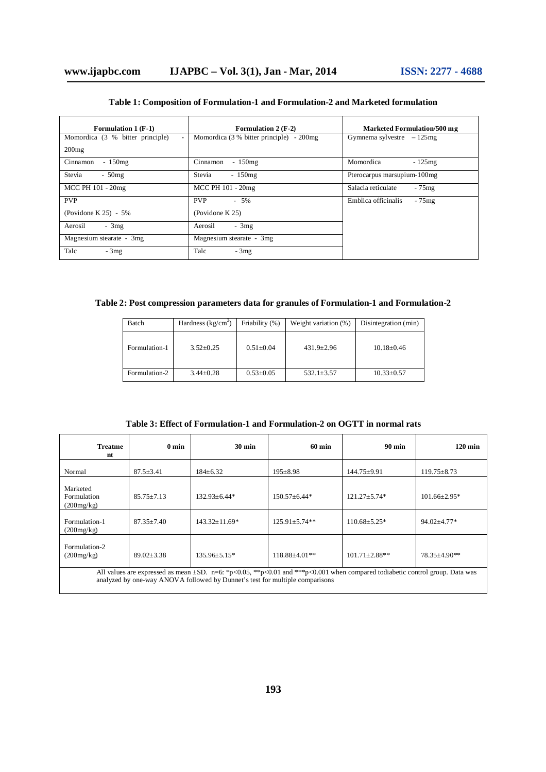| <b>Formulation 1 (F-1)</b>                         | <b>Formulation 2 (F-2)</b>               | <b>Marketed Formulation/500 mg</b> |
|----------------------------------------------------|------------------------------------------|------------------------------------|
| Momordica (3 % bitter principle)<br>$\overline{a}$ | Momordica (3 % bitter principle) - 200mg | Gymnema sylvestre $-125$ mg        |
| 200mg                                              |                                          |                                    |
| $-150$ mg<br>Cinnamon                              | $-150mg$<br>Cinnamon                     | Momordica<br>$-125mg$              |
| Stevia<br>$-50$ mg                                 | Stevia<br>$-150$ mg                      | Pterocarpus marsupium-100mg        |
| MCC PH 101 - 20mg                                  | MCC PH 101 - 20mg                        | Salacia reticulate<br>$-75mg$      |
| <b>PVP</b>                                         | <b>PVP</b><br>$-5\%$                     | Emblica officinalis<br>$-75$ mg    |
| (Povidone K 25) - 5%                               | (Povidone $K$ 25)                        |                                    |
| $-3mg$<br>Aerosil                                  | $-3mg$<br>Aerosil                        |                                    |
| Magnesium stearate - 3mg                           | Magnesium stearate - 3mg                 |                                    |
| Talc<br>$-3mg$                                     | Talc<br>$-3mg$                           |                                    |

## **Table 1: Composition of Formulation-1 and Formulation-2 and Marketed formulation**

**Table 2: Post compression parameters data for granules of Formulation-1 and Formulation-2**

| Batch         | Hardness $(kg/cm2)$ | Friability (%)  | Weight variation (%) | Disintegration (min) |
|---------------|---------------------|-----------------|----------------------|----------------------|
| Formulation-1 | $3.52 + 0.25$       | $0.51 + 0.04$   | $431.9 + 2.96$       | $10.18 \pm 0.46$     |
| Formulation-2 | $3.44 + 0.28$       | $0.53 \pm 0.05$ | $532.1 \pm 3.57$     | $10.33 \pm 0.57$     |

| <b>Treatme</b><br>nt                                                                                                                                                                                         | 0 <sub>min</sub> | $30 \text{ min}$    | <b>60 min</b>      | <b>90 min</b>       | $120 \text{ min}$   |
|--------------------------------------------------------------------------------------------------------------------------------------------------------------------------------------------------------------|------------------|---------------------|--------------------|---------------------|---------------------|
| Normal                                                                                                                                                                                                       | $87.5 + 3.41$    | $184+6.32$          | $195 + 8.98$       | $144.75 + 9.91$     | $119.75 \pm 8.73$   |
| Marketed<br>Formulation<br>(200mg/kg)                                                                                                                                                                        | $85.75 + 7.13$   | $132.93 + 6.44*$    | $150.57 \pm 6.44*$ | $121.27 \pm 5.74*$  | $101.66 \pm 2.95^*$ |
| Formulation-1<br>(200mg/kg)                                                                                                                                                                                  | $87.35 + 7.40$   | $143.32 \pm 11.69*$ | $125.91 + 5.74**$  | $110.68 \pm 5.25$ * | $94.02 \pm 4.77$ *  |
| Formulation-2<br>(200mg/kg)                                                                                                                                                                                  | $89.02 + 3.38$   | $135.96 + 5.15*$    | $118.88 + 4.01**$  | $101.71 + 2.88$ **  | 78.35±4.90**        |
| All values are expressed as mean ±SD. n=6: *p<0.05, **p<0.01 and ***p<0.001 when compared todiabetic control group. Data was<br>analyzed by one-way ANOVA followed by Dunnet's test for multiple comparisons |                  |                     |                    |                     |                     |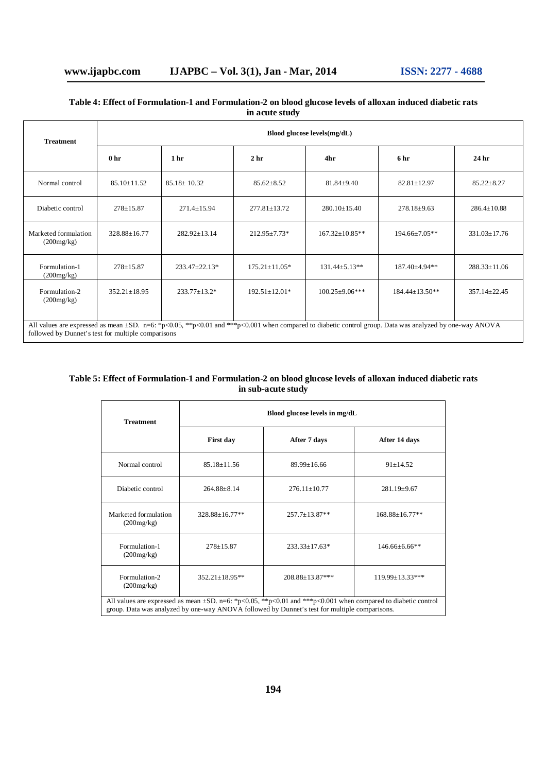## **Table 4: Effect of Formulation-1 and Formulation-2 on blood glucose levels of alloxan induced diabetic rats in acute study**

| <b>Treatment</b>                                                                                                                                                                                                    | Blood glucose levels(mg/dL) |                     |                     |                       |                      |                    |
|---------------------------------------------------------------------------------------------------------------------------------------------------------------------------------------------------------------------|-----------------------------|---------------------|---------------------|-----------------------|----------------------|--------------------|
|                                                                                                                                                                                                                     | 0 <sub>hr</sub>             | 1 <sub>hr</sub>     | 2 <sub>hr</sub>     | 4hr                   | 6 <sub>hr</sub>      | 24 <sub>hr</sub>   |
| Normal control                                                                                                                                                                                                      | $85.10 \pm 11.52$           | $85.18 \pm 10.32$   | $85.62 \pm 8.52$    | $81.84 \pm 9.40$      | $82.81 \pm 12.97$    | $85.22 \pm 8.27$   |
| Diabetic control                                                                                                                                                                                                    | $278 + 15.87$               | $271.4 \pm 15.94$   | $277.81 \pm 13.72$  | $280.10 \pm 15.40$    | $278.18 \pm 9.63$    | $286.4 \pm 10.88$  |
| Marketed formulation<br>(200mg/kg)                                                                                                                                                                                  | $328.88 \pm 16.77$          | $282.92 \pm 13.14$  | $212.95 \pm 7.73*$  | $167.32 \pm 10.85**$  | $194.66 \pm 7.05**$  | $331.03 \pm 17.76$ |
| Formulation-1<br>(200mg/kg)                                                                                                                                                                                         | $278 \pm 15.87$             | $233.47 \pm 22.13*$ | $175.21 \pm 11.05*$ | $131.44 \pm 5.13**$   | 187.40±4.94**        | $288.33 \pm 11.06$ |
| Formulation-2<br>(200mg/kg)                                                                                                                                                                                         | $352.21 \pm 18.95$          | $233.77 \pm 13.2^*$ | $192.51 \pm 12.01*$ | $100.25 \pm 9.06$ *** | $184.44 \pm 13.50**$ | $357.14 \pm 22.45$ |
| All values are expressed as mean $\pm SD$ . n=6: *p<0.05, **p<0.01 and ***p<0.001 when compared to diabetic control group. Data was analyzed by one-way ANOVA<br>followed by Dunnet's test for multiple comparisons |                             |                     |                     |                       |                      |                    |

## **Table 5: Effect of Formulation-1 and Formulation-2 on blood glucose levels of alloxan induced diabetic rats in sub-acute study**

| <b>Treatment</b>                                                                                                                                                                                                     | Blood glucose levels in mg/dL    |                     |                        |  |
|----------------------------------------------------------------------------------------------------------------------------------------------------------------------------------------------------------------------|----------------------------------|---------------------|------------------------|--|
|                                                                                                                                                                                                                      | <b>First day</b><br>After 7 days |                     | After 14 days          |  |
| Normal control                                                                                                                                                                                                       | $85.18 + 11.56$                  | $89.99 + 16.66$     | $91 + 14.52$           |  |
| Diabetic control                                                                                                                                                                                                     | $264.88 + 8.14$                  | $276.11 + 10.77$    | $281.19 \pm 9.67$      |  |
| Marketed formulation<br>(200mg/kg)                                                                                                                                                                                   | $328.88 + 16.77**$               | $257.7 \pm 13.87**$ | 168.88±16.77**         |  |
| Formulation-1<br>(200mg/kg)                                                                                                                                                                                          | $278 \pm 15.87$                  | $233.33 \pm 17.63*$ | $146.66\pm 6.66**$     |  |
| Formulation-2<br>(200mg/kg)                                                                                                                                                                                          | $352.21 \pm 18.95**$             | 208.88±13.87***     | $119.99 \pm 13.33$ *** |  |
| All values are expressed as mean $\pm SD$ . n=6: *p<0.05, **p<0.01 and ***p<0.001 when compared to diabetic control<br>group. Data was analyzed by one-way ANOVA followed by Dunnet's test for multiple comparisons. |                                  |                     |                        |  |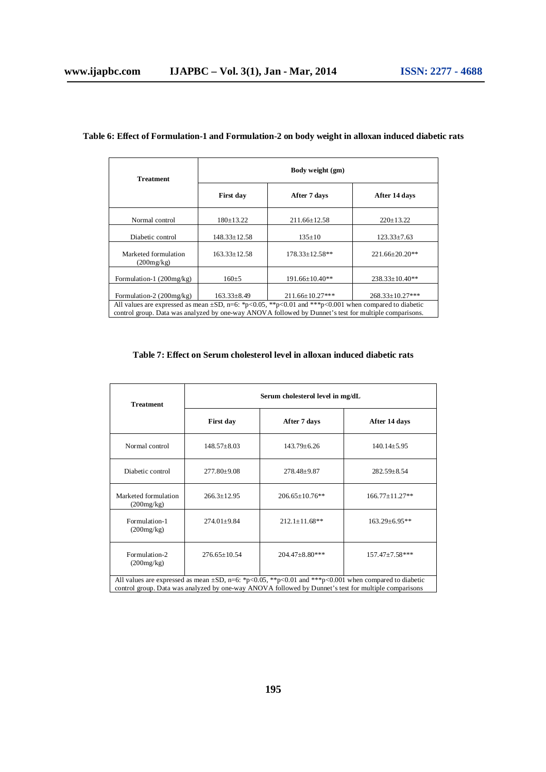| <b>Treatment</b>                                                                                                                                                                                                     | Body weight (gm)          |                        |                        |  |
|----------------------------------------------------------------------------------------------------------------------------------------------------------------------------------------------------------------------|---------------------------|------------------------|------------------------|--|
|                                                                                                                                                                                                                      | After 7 days<br>First day |                        | After 14 days          |  |
| Normal control                                                                                                                                                                                                       | $180 \pm 13.22$           | $211.66 \pm 12.58$     | $220 \pm 13.22$        |  |
| Diabetic control                                                                                                                                                                                                     | $148.33 \pm 12.58$        | $135 \pm 10$           | $123.33 \pm 7.63$      |  |
| Marketed formulation<br>(200mg/kg)                                                                                                                                                                                   | $163.33 \pm 12.58$        | $178.33 \pm 12.58**$   | $221.66 \pm 20.20$ **  |  |
| Formulation-1 $(200mg/kg)$                                                                                                                                                                                           | $160+5$                   | $191.66 \pm 10.40**$   | $238.33 \pm 10.40**$   |  |
| Formulation-2 $(200mg/kg)$                                                                                                                                                                                           | $163.33 \pm 8.49$         | $211.66 \pm 10.27$ *** | $268.33 \pm 10.27$ *** |  |
| All values are expressed as mean $\pm SD$ , n=6: *p<0.05, **p<0.01 and ***p<0.001 when compared to diabetic<br>control group. Data was analyzed by one-way ANOVA followed by Dunnet's test for multiple comparisons. |                           |                        |                        |  |

## **Table 6: Effect of Formulation-1 and Formulation-2 on body weight in alloxan induced diabetic rats**

#### **Table 7: Effect on Serum cholesterol level in alloxan induced diabetic rats**

| <b>Treatment</b>                   | Serum cholesterol level in mg/dL |                                                                                                                                                                                                                     |                       |  |
|------------------------------------|----------------------------------|---------------------------------------------------------------------------------------------------------------------------------------------------------------------------------------------------------------------|-----------------------|--|
|                                    | <b>First day</b><br>After 7 days |                                                                                                                                                                                                                     | After 14 days         |  |
| Normal control                     | $148.57 \pm 8.03$                | $143.79 + 6.26$                                                                                                                                                                                                     | $140.14 \pm 5.95$     |  |
| Diabetic control                   | $277.80 \pm 9.08$                | 278.48±9.87                                                                                                                                                                                                         | $282.59 \pm 8.54$     |  |
| Marketed formulation<br>(200mg/kg) | $266.3 \pm 12.95$                | $206.65 + 10.76**$                                                                                                                                                                                                  | $166.77+11.27**$      |  |
| Formulation-1<br>(200mg/kg)        | $274.01 \pm 9.84$                | $212.1 \pm 11.68**$                                                                                                                                                                                                 | 163.29±6.95**         |  |
| Formulation-2<br>(200mg/kg)        | $276.65 \pm 10.54$               | $204.47 \pm 8.80$ ***                                                                                                                                                                                               | $157.47 \pm 7.58$ *** |  |
|                                    |                                  | All values are expressed as mean $\pm SD$ , n=6: *p<0.05, **p<0.01 and ***p<0.001 when compared to diabetic<br>control group. Data was analyzed by one-way ANOVA followed by Dunnet's test for multiple comparisons |                       |  |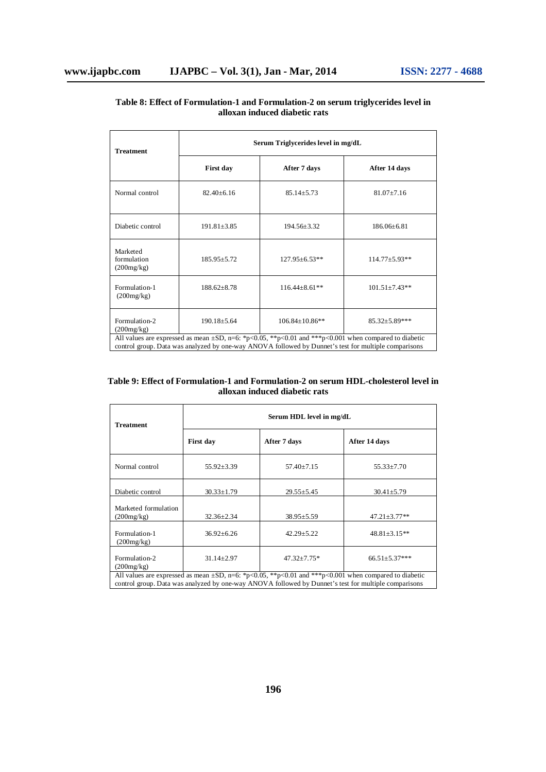| <b>Treatment</b>                                                                                                                                                                                                    | Serum Triglycerides level in mg/dL |                      |                      |  |
|---------------------------------------------------------------------------------------------------------------------------------------------------------------------------------------------------------------------|------------------------------------|----------------------|----------------------|--|
|                                                                                                                                                                                                                     | <b>First day</b><br>After 7 days   |                      | After 14 days        |  |
| Normal control                                                                                                                                                                                                      | $82.40 \pm 6.16$                   | $85.14 \pm 5.73$     | $81.07 \pm 7.16$     |  |
| Diabetic control                                                                                                                                                                                                    | $191.81 + 3.85$                    | $194.56 + 3.32$      | $186.06 + 6.81$      |  |
| Marketed<br>formulation<br>(200mg/kg)                                                                                                                                                                               | $185.95 + 5.72$                    | $127.95 \pm 6.53**$  | $114.77 \pm 5.93**$  |  |
| Formulation-1<br>(200mg/kg)                                                                                                                                                                                         | $188.62 \pm 8.78$                  | $116.44 \pm 8.61$ ** | $101.51 \pm 7.43**$  |  |
| Formulation-2<br>(200mg/kg)                                                                                                                                                                                         | $190.18 + 5.64$                    | $106.84 + 10.86**$   | $85.32 \pm 5.89$ *** |  |
| All values are expressed as mean $\pm SD$ , n=6: *p<0.05, **p<0.01 and ***p<0.001 when compared to diabetic<br>control group. Data was analyzed by one-way ANOVA followed by Dunnet's test for multiple comparisons |                                    |                      |                      |  |

## **Table 8: Effect of Formulation-1 and Formulation-2 on serum triglycerides level in alloxan induced diabetic rats**

**Table 9: Effect of Formulation-1 and Formulation-2 on serum HDL-cholesterol level in alloxan induced diabetic rats**

| <b>Treatment</b>                                                                                                                                                                                                    | Serum HDL level in mg/dL  |                   |                     |  |
|---------------------------------------------------------------------------------------------------------------------------------------------------------------------------------------------------------------------|---------------------------|-------------------|---------------------|--|
|                                                                                                                                                                                                                     | First day<br>After 7 days |                   | After 14 days       |  |
| Normal control                                                                                                                                                                                                      | $55.92 \pm 3.39$          | $57.40 \pm 7.15$  | $55.33 \pm 7.70$    |  |
| Diabetic control                                                                                                                                                                                                    | $30.33 \pm 1.79$          | $29.55 \pm 5.45$  | $30.41 \pm 5.79$    |  |
| Marketed formulation<br>(200mg/kg)                                                                                                                                                                                  | $32.36 \pm 2.34$          | $38.95 \pm 5.59$  | $47.21 \pm 3.77$ ** |  |
| Formulation-1<br>(200mg/kg)                                                                                                                                                                                         | $36.92 \pm 6.26$          | $42.29 \pm 5.22$  | $48.81 \pm 3.15**$  |  |
| Formulation-2<br>(200mg/kg)                                                                                                                                                                                         | $31.14 \pm 2.97$          | $47.32 \pm 7.75*$ | $66.51 \pm 5.37***$ |  |
| All values are expressed as mean $\pm SD$ , n=6: *p<0.05, **p<0.01 and ***p<0.001 when compared to diabetic<br>control group. Data was analyzed by one-way ANOVA followed by Dunnet's test for multiple comparisons |                           |                   |                     |  |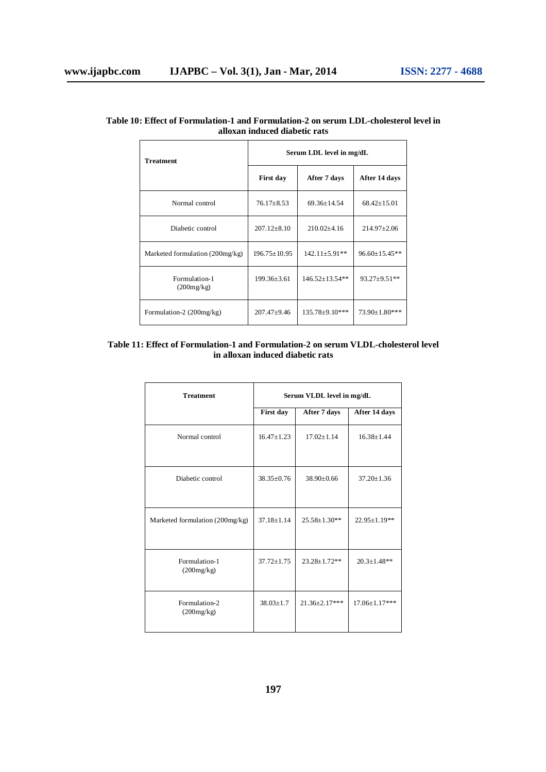| <b>Treatment</b>                | Serum LDL level in mg/dL |                      |                      |  |
|---------------------------------|--------------------------|----------------------|----------------------|--|
|                                 | <b>First day</b>         | After 7 days         | After 14 days        |  |
| Normal control                  | $76.17 \pm 8.53$         | $69.36 \pm 14.54$    | $68.42 \pm 15.01$    |  |
| Diabetic control                | $207.12 \pm 8.10$        | $210.02 \pm 4.16$    | $214.97 \pm 2.06$    |  |
| Marketed formulation (200mg/kg) | $196.75 \pm 10.95$       | $142.11 \pm 5.91$ ** | $96.60 \pm 15.45**$  |  |
| Formulation-1<br>(200mg/kg)     | $199.36 + 3.61$          | $146.52 \pm 13.54**$ | $93.27 \pm 9.51**$   |  |
| Formulation-2 (200mg/kg)        | $207.47 \pm 9.46$        | 135.78±9.10***       | $73.90 \pm 1.80$ *** |  |

## **Table 10: Effect of Formulation-1 and Formulation-2 on serum LDL-cholesterol level in alloxan induced diabetic rats**

## **Table 11: Effect of Formulation-1 and Formulation-2 on serum VLDL-cholesterol level in alloxan induced diabetic rats**

| <b>Treatment</b>                | Serum VLDL level in mg/dL |                     |                     |
|---------------------------------|---------------------------|---------------------|---------------------|
|                                 | First day                 | After 7 days        | After 14 days       |
| Normal control                  | $16.47 + 1.23$            | $17.02 \pm 1.14$    | $16.38 + 1.44$      |
| Diabetic control                | $38.35 \pm 0.76$          | $38.90 \pm 0.66$    | $37.20 \pm 1.36$    |
| Marketed formulation (200mg/kg) | $37.18 + 1.14$            | $25.58 \pm 1.30**$  | 22.95±1.19**        |
| Formulation-1<br>(200mg/kg)     | $37.72 + 1.75$            | $23.28 \pm 1.72**$  | $20.3 \pm 1.48**$   |
| Formulation-2<br>(200mg/kg)     | $38.03 + 1.7$             | $21.36 \pm 2.17***$ | $17.06 \pm 1.17***$ |